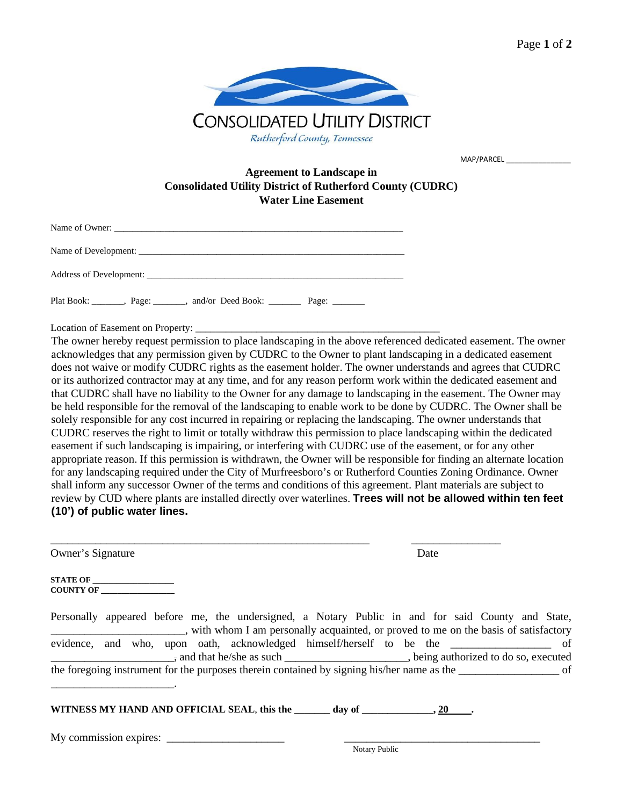

MAP/PARCEL \_\_\_\_\_\_\_\_\_\_\_\_\_\_\_\_

# **Agreement to Landscape in Consolidated Utility District of Rutherford County (CUDRC) Water Line Easement**

| Name of Owner:          |  |  |
|-------------------------|--|--|
| Name of Development:    |  |  |
| Address of Development: |  |  |

Plat Book: \_\_\_\_\_\_, Page: \_\_\_\_\_\_, and/or Deed Book: \_\_\_\_\_\_\_\_ Page: \_\_\_\_\_\_\_\_

Location of Easement on Property: \_

The owner hereby request permission to place landscaping in the above referenced dedicated easement. The owner acknowledges that any permission given by CUDRC to the Owner to plant landscaping in a dedicated easement does not waive or modify CUDRC rights as the easement holder. The owner understands and agrees that CUDRC or its authorized contractor may at any time, and for any reason perform work within the dedicated easement and that CUDRC shall have no liability to the Owner for any damage to landscaping in the easement. The Owner may be held responsible for the removal of the landscaping to enable work to be done by CUDRC. The Owner shall be solely responsible for any cost incurred in repairing or replacing the landscaping. The owner understands that CUDRC reserves the right to limit or totally withdraw this permission to place landscaping within the dedicated easement if such landscaping is impairing, or interfering with CUDRC use of the easement, or for any other appropriate reason. If this permission is withdrawn, the Owner will be responsible for finding an alternate location for any landscaping required under the City of Murfreesboro's or Rutherford Counties Zoning Ordinance. Owner shall inform any successor Owner of the terms and conditions of this agreement. Plant materials are subject to review by CUD where plants are installed directly over waterlines. **Trees will not be allowed within ten feet (10') of public water lines.** 

| Owner's Signature                                                                                                                                                                       | Date          |
|-----------------------------------------------------------------------------------------------------------------------------------------------------------------------------------------|---------------|
| $\begin{tabular}{ c c } \hline \textbf{STATE OF} \textcolor{red}{ c } \hline \multicolumn{3}{ c }{\textbf{}} \\ \hline \end{tabular}$<br>COUNTY OF                                      |               |
| Personally appeared before me, the undersigned, a Notary Public in and for said County and State,<br>with whom I am personally acquainted, or proved to me on the basis of satisfactory |               |
| evidence, and who, upon oath, acknowledged himself/herself to be the _________________ of                                                                                               |               |
|                                                                                                                                                                                         |               |
| WITNESS MY HAND AND OFFICIAL SEAL, this the $\_\_\_\_$ day of $\_\_\_\_\_$ , 20 $\_\_\_\$ .                                                                                             |               |
| My commission expires:                                                                                                                                                                  | Notary Public |